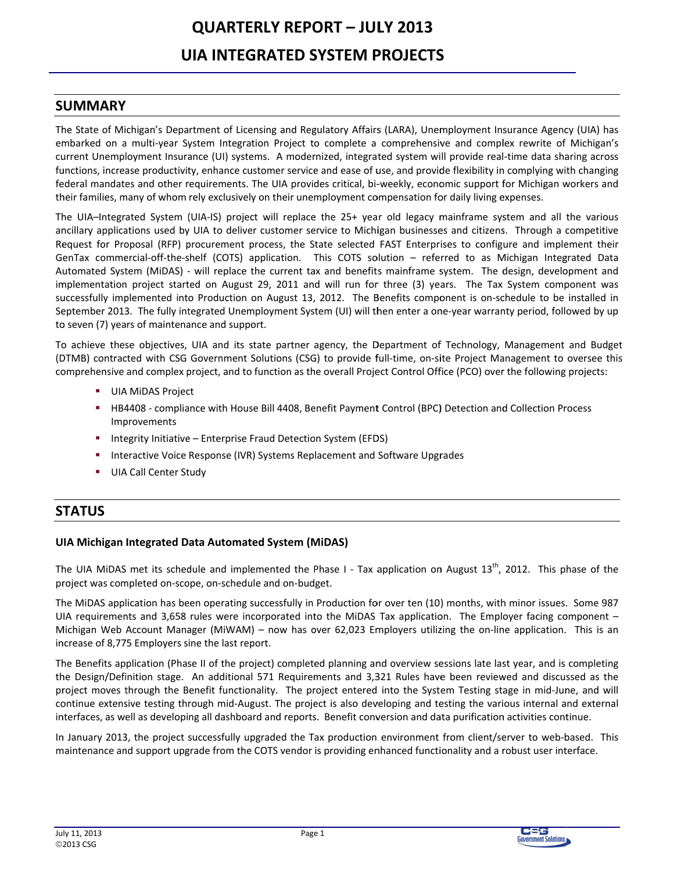# **QUARTERLY REPORT - JULY 2013 UIA INTEGRATED SYSTEM PROJECTS**

## **SUMMARY**

The State of Michigan's Department of Licensing and Regulatory Affairs (LARA), Unemployment Insurance Agency (UIA) has embarked on a multi-year System Integration Project to complete a comprehensive and complex rewrite of Michigan's current Unemployment Insurance (UI) systems. A modernized, integrated system will provide real-time data sharing across functions, increase productivity, enhance customer service and ease of use, and provide flexibility in complying with changing federal mandates and other requirements. The UIA provides critical, bi-weekly, economic support for Michigan workers and their families, many of whom rely exclusively on their unemployment compensation for daily living expenses.

The UIA-Integrated System (UIA-IS) project will replace the 25+ year old legacy mainframe system and all the various ancillary applications used by UIA to deliver customer service to Michigan businesses and citizens. Through a competitive Request for Proposal (RFP) procurement process, the State selected FAST Enterprises to configure and implement their GenTax commercial-off-the-shelf (COTS) application. This COTS solution - referred to as Michigan Integrated Data Automated System (MiDAS) - will replace the current tax and benefits mainframe system. The design, development and implementation project started on August 29, 2011 and will run for three (3) years. The Tax System component was successfully implemented into Production on August 13, 2012. The Benefits component is on-schedule to be installed in September 2013. The fully integrated Unemployment System (UI) will then enter a one-year warranty period, followed by up to seven (7) years of maintenance and support.

To achieve these objectives, UIA and its state partner agency, the Department of Technology, Management and Budget (DTMB) contracted with CSG Government Solutions (CSG) to provide full-time, on-site Project Management to oversee this comprehensive and complex project, and to function as the overall Project Control Office (PCO) over the following projects:

- UIA MIDAS Project
- **EXECUTE:** HB4408 compliance with House Bill 4408, Benefit Payment Control (BPC) Detection and Collection Process Improvements
- " Integrity Initiative Enterprise Fraud Detection System (EFDS)
- Interactive Voice Response (IVR) Systems Replacement and Software Upgrades
- **UIA Call Center Study** п.

# **STATUS**

## UIA Michigan Integrated Data Automated System (MiDAS)

The UIA MiDAS met its schedule and implemented the Phase I - Tax application on August  $13^{th}$ , 2012. This phase of the project was completed on-scope, on-schedule and on-budget.

The MiDAS application has been operating successfully in Production for over ten (10) months, with minor issues. Some 987 UIA requirements and 3,658 rules were incorporated into the MiDAS Tax application. The Employer facing component -Michigan Web Account Manager (MiWAM) - now has over 62,023 Employers utilizing the on-line application. This is an increase of 8,775 Employers sine the last report.

The Benefits application (Phase II of the project) completed planning and overview sessions late last year, and is completing the Design/Definition stage. An additional 571 Requirements and 3,321 Rules have been reviewed and discussed as the project moves through the Benefit functionality. The project entered into the System Testing stage in mid-June, and will continue extensive testing through mid-August. The project is also developing and testing the various internal and external interfaces, as well as developing all dashboard and reports. Benefit conversion and data purification activities continue.

In January 2013, the project successfully upgraded the Tax production environment from client/server to web-based. This maintenance and support upgrade from the COTS vendor is providing enhanced functionality and a robust user interface.